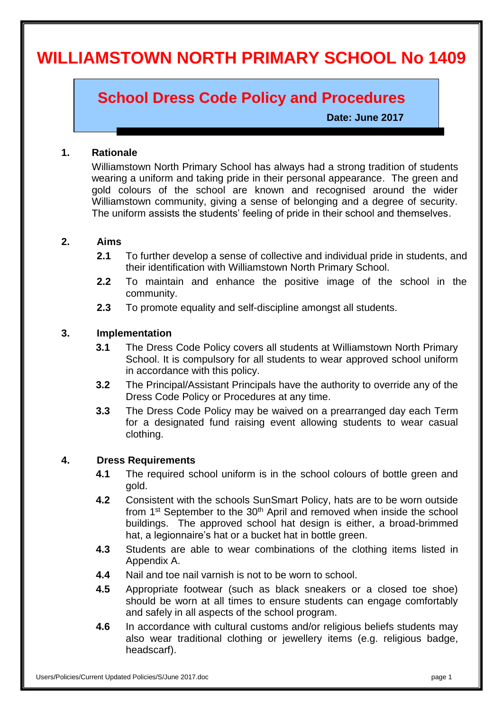# **WILLIAMSTOWN NORTH PRIMARY SCHOOL No 1409**

# **School Dress Code Policy and Procedures**

 **Date: June 2017**

#### **1. Rationale**

Williamstown North Primary School has always had a strong tradition of students wearing a uniform and taking pride in their personal appearance. The green and gold colours of the school are known and recognised around the wider Williamstown community, giving a sense of belonging and a degree of security. The uniform assists the students' feeling of pride in their school and themselves.

#### **2. Aims**

- **2.1** To further develop a sense of collective and individual pride in students, and their identification with Williamstown North Primary School.
- **2.2** To maintain and enhance the positive image of the school in the community.
- **2.3** To promote equality and self-discipline amongst all students.

#### **3. Implementation**

- **3.1** The Dress Code Policy covers all students at Williamstown North Primary School. It is compulsory for all students to wear approved school uniform in accordance with this policy.
- **3.2** The Principal/Assistant Principals have the authority to override any of the Dress Code Policy or Procedures at any time.
- **3.3** The Dress Code Policy may be waived on a prearranged day each Term for a designated fund raising event allowing students to wear casual clothing.

#### **4. Dress Requirements**

- **4.1** The required school uniform is in the school colours of bottle green and gold.
- **4.2** Consistent with the schools SunSmart Policy, hats are to be worn outside from 1<sup>st</sup> September to the 30<sup>th</sup> April and removed when inside the school buildings. The approved school hat design is either, a broad-brimmed hat, a legionnaire's hat or a bucket hat in bottle green.
- **4.3** Students are able to wear combinations of the clothing items listed in Appendix A.
- **4.4** Nail and toe nail varnish is not to be worn to school.
- **4.5** Appropriate footwear (such as black sneakers or a closed toe shoe) should be worn at all times to ensure students can engage comfortably and safely in all aspects of the school program.
- **4.6** In accordance with cultural customs and/or religious beliefs students may also wear traditional clothing or jewellery items (e.g. religious badge, headscarf).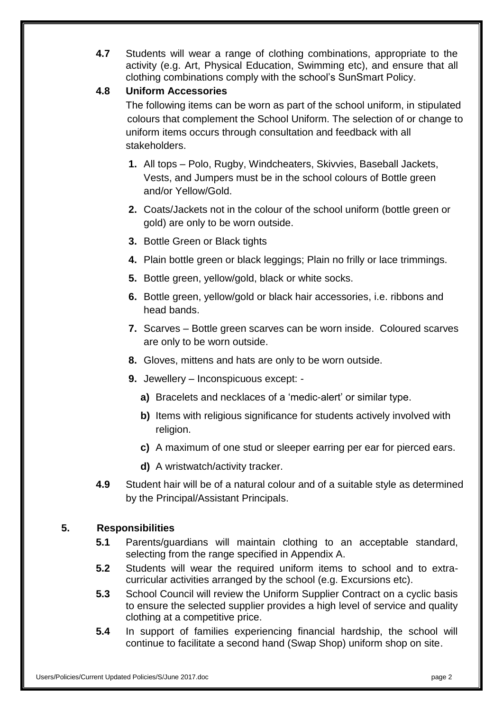**4.7** Students will wear a range of clothing combinations, appropriate to the activity (e.g. Art, Physical Education, Swimming etc), and ensure that all clothing combinations comply with the school's SunSmart Policy.

# **4.8 Uniform Accessories**

The following items can be worn as part of the school uniform, in stipulated colours that complement the School Uniform. The selection of or change to uniform items occurs through consultation and feedback with all stakeholders.

- **1.** All tops Polo, Rugby, Windcheaters, Skivvies, Baseball Jackets, Vests, and Jumpers must be in the school colours of Bottle green and/or Yellow/Gold.
- **2.** Coats/Jackets not in the colour of the school uniform (bottle green or gold) are only to be worn outside.
- **3.** Bottle Green or Black tights
- **4.** Plain bottle green or black leggings; Plain no frilly or lace trimmings.
- **5.** Bottle green, yellow/gold, black or white socks.
- **6.** Bottle green, yellow/gold or black hair accessories, i.e. ribbons and head bands.
- **7.** Scarves Bottle green scarves can be worn inside. Coloured scarves are only to be worn outside.
- **8.** Gloves, mittens and hats are only to be worn outside.
- **9.** Jewellery Inconspicuous except:
	- **a)** Bracelets and necklaces of a 'medic-alert' or similar type.
	- **b)** Items with religious significance for students actively involved with religion.
	- **c)** A maximum of one stud or sleeper earring per ear for pierced ears.
	- **d)** A wristwatch/activity tracker.
- **4.9** Student hair will be of a natural colour and of a suitable style as determined by the Principal/Assistant Principals.

# **5. Responsibilities**

- **5.1** Parents/guardians will maintain clothing to an acceptable standard, selecting from the range specified in Appendix A.
- **5.2** Students will wear the required uniform items to school and to extracurricular activities arranged by the school (e.g. Excursions etc).
- **5.3** School Council will review the Uniform Supplier Contract on a cyclic basis to ensure the selected supplier provides a high level of service and quality clothing at a competitive price.
- **5.4** In support of families experiencing financial hardship, the school will continue to facilitate a second hand (Swap Shop) uniform shop on site.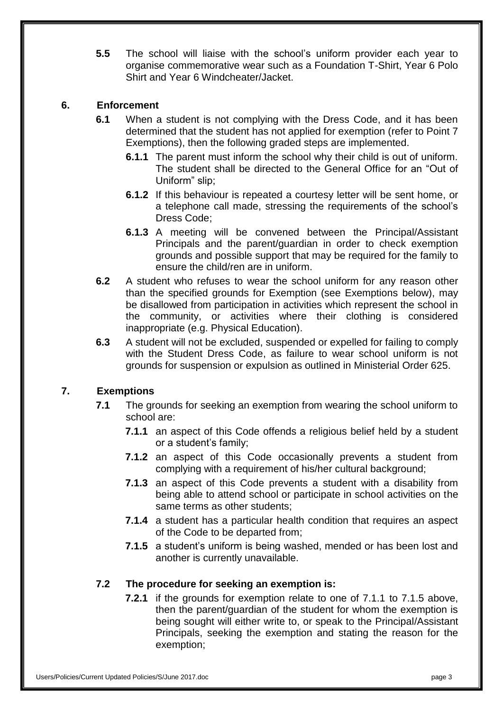**5.5** The school will liaise with the school's uniform provider each year to organise commemorative wear such as a Foundation T-Shirt, Year 6 Polo Shirt and Year 6 Windcheater/Jacket.

# **6. Enforcement**

- **6.1** When a student is not complying with the Dress Code, and it has been determined that the student has not applied for exemption (refer to Point 7 Exemptions), then the following graded steps are implemented.
	- **6.1.1** The parent must inform the school why their child is out of uniform. The student shall be directed to the General Office for an "Out of Uniform" slip;
	- **6.1.2** If this behaviour is repeated a courtesy letter will be sent home, or a telephone call made, stressing the requirements of the school's Dress Code;
	- **6.1.3** A meeting will be convened between the Principal/Assistant Principals and the parent/guardian in order to check exemption grounds and possible support that may be required for the family to ensure the child/ren are in uniform.
- **6.2** A student who refuses to wear the school uniform for any reason other than the specified grounds for Exemption (see Exemptions below), may be disallowed from participation in activities which represent the school in the community, or activities where their clothing is considered inappropriate (e.g. Physical Education).
- **6.3** A student will not be excluded, suspended or expelled for failing to comply with the Student Dress Code, as failure to wear school uniform is not grounds for suspension or expulsion as outlined in Ministerial Order 625.

# **7. Exemptions**

- **7.1** The grounds for seeking an exemption from wearing the school uniform to school are:
	- **7.1.1** an aspect of this Code offends a religious belief held by a student or a student's family;
	- **7.1.2** an aspect of this Code occasionally prevents a student from complying with a requirement of his/her cultural background;
	- **7.1.3** an aspect of this Code prevents a student with a disability from being able to attend school or participate in school activities on the same terms as other students;
	- **7.1.4** a student has a particular health condition that requires an aspect of the Code to be departed from;
	- **7.1.5** a student's uniform is being washed, mended or has been lost and another is currently unavailable.

# **7.2 The procedure for seeking an exemption is:**

**7.2.1** if the grounds for exemption relate to one of 7.1.1 to 7.1.5 above, then the parent/guardian of the student for whom the exemption is being sought will either write to, or speak to the Principal/Assistant Principals, seeking the exemption and stating the reason for the exemption;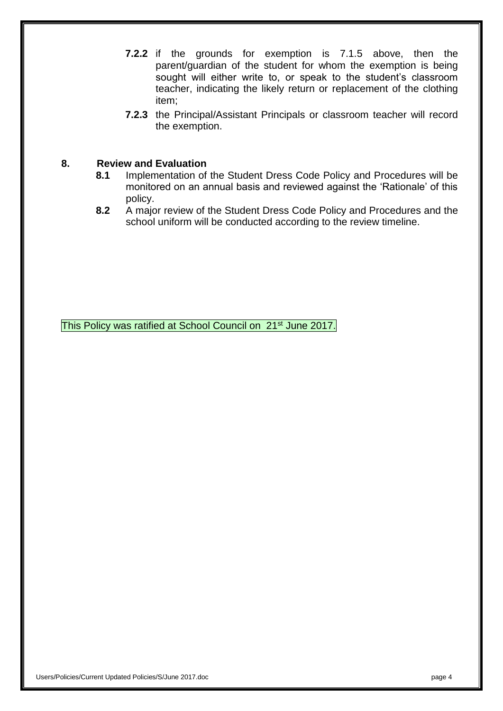**7.2.2** if the grounds for exemption is 7.1.5 above, then the parent/guardian of the student for whom the exemption is being sought will either write to, or speak to the student's classroom teacher, indicating the likely return or replacement of the clothing item;

**7.2.3** the Principal/Assistant Principals or classroom teacher will record the exemption.

#### **8. Review and Evaluation**

- **8.1** Implementation of the Student Dress Code Policy and Procedures will be monitored on an annual basis and reviewed against the 'Rationale' of this policy.
- **8.2** A major review of the Student Dress Code Policy and Procedures and the school uniform will be conducted according to the review timeline.

This Policy was ratified at School Council on 21<sup>st</sup> June 2017.